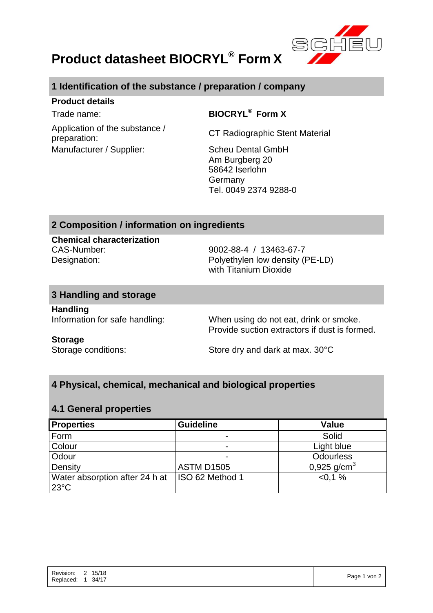

## **Product datasheet BIOCRYL® Form X**

## **1 Identification of the substance / preparation / company**

#### **Product details**

 $Trade$  name:

**BIOCRYL<sup>®</sup> Form X** 

Application of the substance / Application of the substance / CT Radiographic Stent Material preparation: Manufacturer / Supplier: Scheu Dental GmbH

Am Burgberg 20 58642 Iserlohn Germany Tel. 0049 2374 9288-0

## **2 Composition / information on ingredients**

**Chemical characterization** CAS-Number: 9002-88-4 / 13463-67-7

Designation: Polyethylen low density (PE-LD) with Titanium Dioxide

#### **3 Handling and storage**

**Handling**

Information for safe handling: When using do not eat, drink or smoke. Provide suction extractors if dust is formed.

#### **Storage**

Storage conditions: Store dry and dark at max. 30°C

## **4 Physical, chemical, mechanical and biological properties**

#### **4.1 General properties**

| <b>Properties</b>                                | <b>Guideline</b>         | <b>Value</b>     |
|--------------------------------------------------|--------------------------|------------------|
| Form                                             | $\overline{\phantom{0}}$ | Solid            |
| Colour                                           |                          | Light blue       |
| Odour                                            |                          | <b>Odourless</b> |
| Density                                          | <b>ASTM D1505</b>        | 0,925 $q/cm3$    |
| Water absorption after 24 h at<br>$23^{\circ}$ C | ISO 62 Method 1          | $< 0.1 \%$       |

|--|